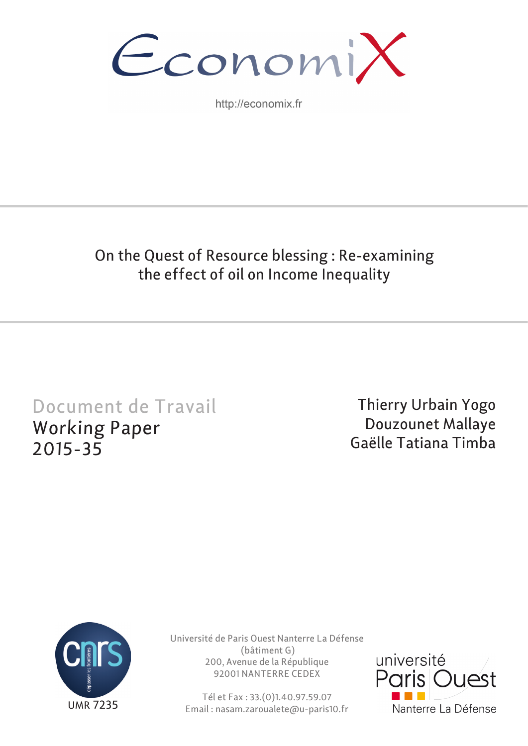

http://economix.fr

# On the Quest of Resource blessing : Re-examining the effect of oil on Income Inequality

# Document de Travail Working Paper 2015-35

Thierry Urbain Yogo Douzounet Mallaye Gaëlle Tatiana Timba



Université de Paris Ouest Nanterre La Défense (bâtiment G) 200, Avenue de la République 92001 NANTERRE CEDEX

Tél et Fax : 33.(0)1.40.97.59.07 Email : nasam.zaroualete@u-paris10.fr

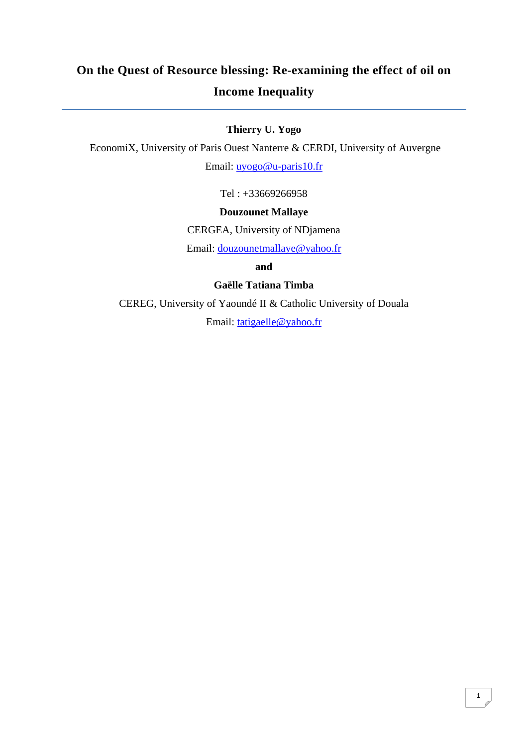# **On the Quest of Resource blessing: Re-examining the effect of oil on Income Inequality**

## **Thierry U. Yogo**

EconomiX, University of Paris Ouest Nanterre & CERDI, University of Auvergne

Email: uyogo@u-paris10.fr

Tel : +33669266958

## **Douzounet Mallaye**

CERGEA, University of NDjamena

Email: douzounetmallaye@yahoo.fr

**and** 

**Gaëlle Tatiana Timba** 

CEREG, University of Yaoundé II & Catholic University of Douala

Email: tatigaelle@yahoo.fr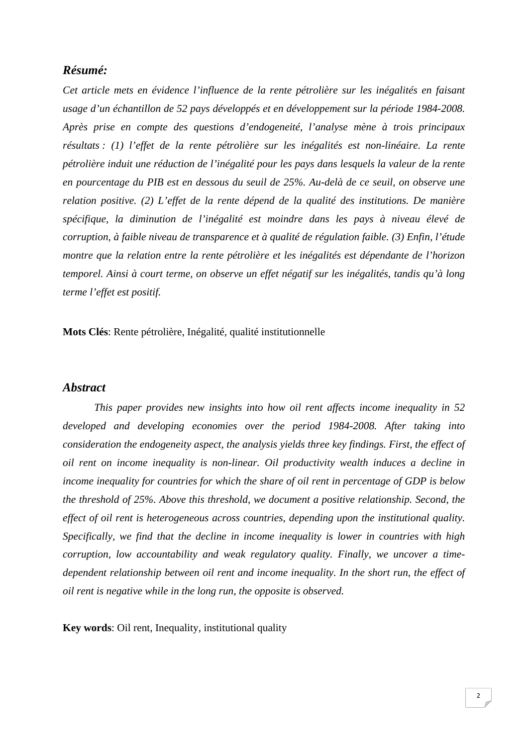## *Résumé:*

*Cet article mets en évidence l'influence de la rente pétrolière sur les inégalités en faisant usage d'un échantillon de 52 pays développés et en développement sur la période 1984-2008. Après prise en compte des questions d'endogeneité, l'analyse mène à trois principaux résultats : (1) l'effet de la rente pétrolière sur les inégalités est non-linéaire. La rente pétrolière induit une réduction de l'inégalité pour les pays dans lesquels la valeur de la rente en pourcentage du PIB est en dessous du seuil de 25%. Au-delà de ce seuil, on observe une relation positive. (2) L'effet de la rente dépend de la qualité des institutions. De manière spécifique, la diminution de l'inégalité est moindre dans les pays à niveau élevé de corruption, à faible niveau de transparence et à qualité de régulation faible. (3) Enfin, l'étude montre que la relation entre la rente pétrolière et les inégalités est dépendante de l'horizon temporel. Ainsi à court terme, on observe un effet négatif sur les inégalités, tandis qu'à long terme l'effet est positif.* 

**Mots Clés**: Rente pétrolière, Inégalité, qualité institutionnelle

#### *Abstract*

*This paper provides new insights into how oil rent affects income inequality in 52 developed and developing economies over the period 1984-2008. After taking into consideration the endogeneity aspect, the analysis yields three key findings. First, the effect of oil rent on income inequality is non-linear. Oil productivity wealth induces a decline in income inequality for countries for which the share of oil rent in percentage of GDP is below the threshold of 25%. Above this threshold, we document a positive relationship. Second, the effect of oil rent is heterogeneous across countries, depending upon the institutional quality. Specifically, we find that the decline in income inequality is lower in countries with high corruption, low accountability and weak regulatory quality. Finally, we uncover a timedependent relationship between oil rent and income inequality. In the short run, the effect of oil rent is negative while in the long run, the opposite is observed.* 

**Key words**: Oil rent, Inequality, institutional quality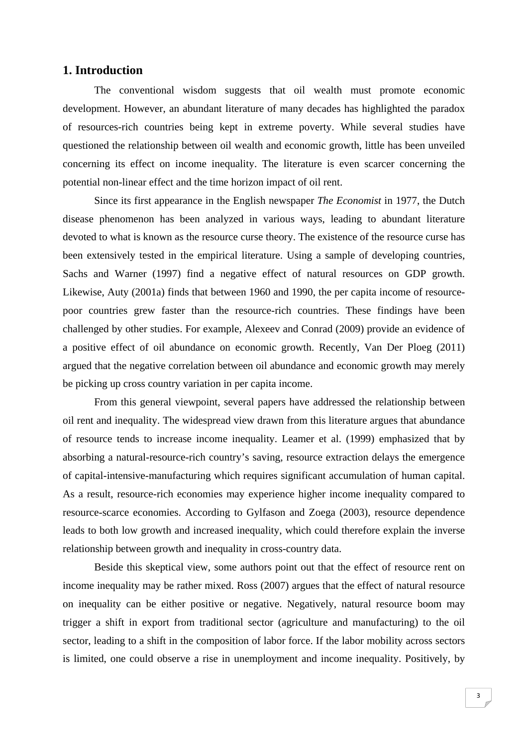#### **1. Introduction**

The conventional wisdom suggests that oil wealth must promote economic development. However, an abundant literature of many decades has highlighted the paradox of resources-rich countries being kept in extreme poverty. While several studies have questioned the relationship between oil wealth and economic growth, little has been unveiled concerning its effect on income inequality. The literature is even scarcer concerning the potential non-linear effect and the time horizon impact of oil rent.

Since its first appearance in the English newspaper *The Economist* in 1977, the Dutch disease phenomenon has been analyzed in various ways, leading to abundant literature devoted to what is known as the resource curse theory. The existence of the resource curse has been extensively tested in the empirical literature. Using a sample of developing countries, Sachs and Warner (1997) find a negative effect of natural resources on GDP growth. Likewise, Auty (2001a) finds that between 1960 and 1990, the per capita income of resourcepoor countries grew faster than the resource-rich countries. These findings have been challenged by other studies. For example, Alexeev and Conrad (2009) provide an evidence of a positive effect of oil abundance on economic growth. Recently, Van Der Ploeg (2011) argued that the negative correlation between oil abundance and economic growth may merely be picking up cross country variation in per capita income.

From this general viewpoint, several papers have addressed the relationship between oil rent and inequality. The widespread view drawn from this literature argues that abundance of resource tends to increase income inequality. Leamer et al. (1999) emphasized that by absorbing a natural-resource-rich country's saving, resource extraction delays the emergence of capital-intensive-manufacturing which requires significant accumulation of human capital. As a result, resource-rich economies may experience higher income inequality compared to resource-scarce economies. According to Gylfason and Zoega (2003), resource dependence leads to both low growth and increased inequality, which could therefore explain the inverse relationship between growth and inequality in cross-country data.

Beside this skeptical view, some authors point out that the effect of resource rent on income inequality may be rather mixed. Ross (2007) argues that the effect of natural resource on inequality can be either positive or negative. Negatively, natural resource boom may trigger a shift in export from traditional sector (agriculture and manufacturing) to the oil sector, leading to a shift in the composition of labor force. If the labor mobility across sectors is limited, one could observe a rise in unemployment and income inequality. Positively, by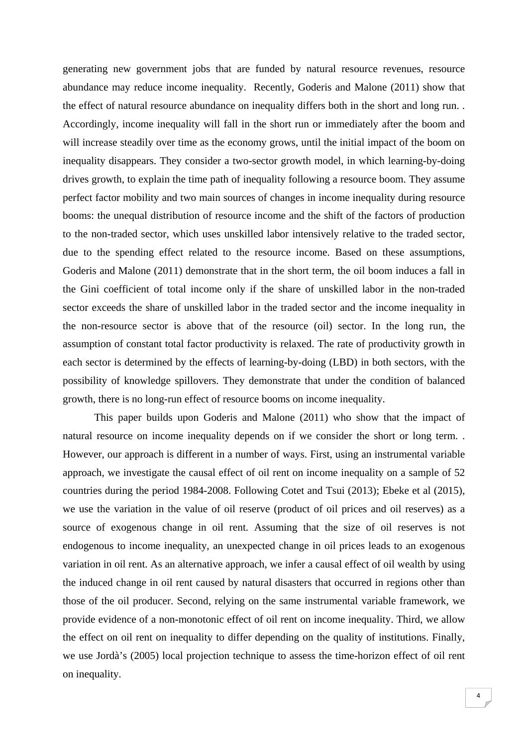generating new government jobs that are funded by natural resource revenues, resource abundance may reduce income inequality. Recently, Goderis and Malone (2011) show that the effect of natural resource abundance on inequality differs both in the short and long run. . Accordingly, income inequality will fall in the short run or immediately after the boom and will increase steadily over time as the economy grows, until the initial impact of the boom on inequality disappears. They consider a two-sector growth model, in which learning-by-doing drives growth, to explain the time path of inequality following a resource boom. They assume perfect factor mobility and two main sources of changes in income inequality during resource booms: the unequal distribution of resource income and the shift of the factors of production to the non-traded sector, which uses unskilled labor intensively relative to the traded sector, due to the spending effect related to the resource income. Based on these assumptions, Goderis and Malone (2011) demonstrate that in the short term, the oil boom induces a fall in the Gini coefficient of total income only if the share of unskilled labor in the non-traded sector exceeds the share of unskilled labor in the traded sector and the income inequality in the non-resource sector is above that of the resource (oil) sector. In the long run, the assumption of constant total factor productivity is relaxed. The rate of productivity growth in each sector is determined by the effects of learning-by-doing (LBD) in both sectors, with the possibility of knowledge spillovers. They demonstrate that under the condition of balanced growth, there is no long-run effect of resource booms on income inequality.

 This paper builds upon Goderis and Malone (2011) who show that the impact of natural resource on income inequality depends on if we consider the short or long term. . However, our approach is different in a number of ways. First, using an instrumental variable approach, we investigate the causal effect of oil rent on income inequality on a sample of 52 countries during the period 1984-2008. Following Cotet and Tsui (2013); Ebeke et al (2015), we use the variation in the value of oil reserve (product of oil prices and oil reserves) as a source of exogenous change in oil rent. Assuming that the size of oil reserves is not endogenous to income inequality, an unexpected change in oil prices leads to an exogenous variation in oil rent. As an alternative approach, we infer a causal effect of oil wealth by using the induced change in oil rent caused by natural disasters that occurred in regions other than those of the oil producer. Second, relying on the same instrumental variable framework, we provide evidence of a non-monotonic effect of oil rent on income inequality. Third, we allow the effect on oil rent on inequality to differ depending on the quality of institutions. Finally, we use Jordà's (2005) local projection technique to assess the time-horizon effect of oil rent on inequality.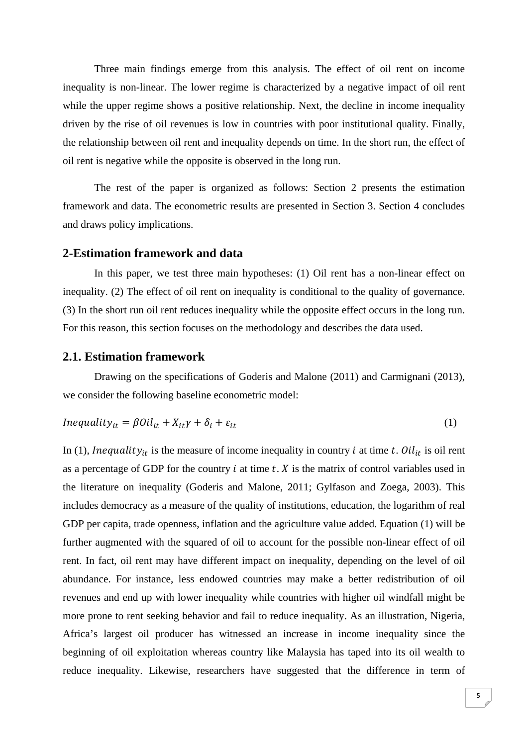Three main findings emerge from this analysis. The effect of oil rent on income inequality is non-linear. The lower regime is characterized by a negative impact of oil rent while the upper regime shows a positive relationship. Next, the decline in income inequality driven by the rise of oil revenues is low in countries with poor institutional quality. Finally, the relationship between oil rent and inequality depends on time. In the short run, the effect of oil rent is negative while the opposite is observed in the long run.

 The rest of the paper is organized as follows: Section 2 presents the estimation framework and data. The econometric results are presented in Section 3. Section 4 concludes and draws policy implications.

#### **2-Estimation framework and data**

In this paper, we test three main hypotheses: (1) Oil rent has a non-linear effect on inequality. (2) The effect of oil rent on inequality is conditional to the quality of governance. (3) In the short run oil rent reduces inequality while the opposite effect occurs in the long run. For this reason, this section focuses on the methodology and describes the data used.

#### **2.1. Estimation framework**

Drawing on the specifications of Goderis and Malone (2011) and Carmignani (2013), we consider the following baseline econometric model:

$$
Inequality_{it} = \beta Oil_{it} + X_{it}\gamma + \delta_i + \varepsilon_{it}
$$
\n<sup>(1)</sup>

In (1), Inequality<sub>it</sub> is the measure of income inequality in country *i* at time *t*. Oil<sub>it</sub> is oil rent as a percentage of GDP for the country  $i$  at time  $t$ .  $X$  is the matrix of control variables used in the literature on inequality (Goderis and Malone, 2011; Gylfason and Zoega, 2003). This includes democracy as a measure of the quality of institutions, education, the logarithm of real GDP per capita, trade openness, inflation and the agriculture value added. Equation (1) will be further augmented with the squared of oil to account for the possible non-linear effect of oil rent. In fact, oil rent may have different impact on inequality, depending on the level of oil abundance. For instance, less endowed countries may make a better redistribution of oil revenues and end up with lower inequality while countries with higher oil windfall might be more prone to rent seeking behavior and fail to reduce inequality. As an illustration, Nigeria, Africa's largest oil producer has witnessed an increase in income inequality since the beginning of oil exploitation whereas country like Malaysia has taped into its oil wealth to reduce inequality. Likewise, researchers have suggested that the difference in term of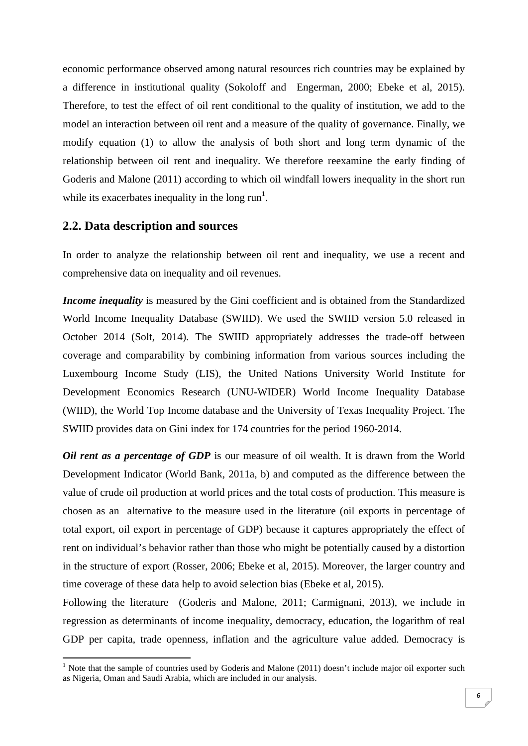economic performance observed among natural resources rich countries may be explained by a difference in institutional quality (Sokoloff and Engerman, 2000; Ebeke et al, 2015). Therefore, to test the effect of oil rent conditional to the quality of institution, we add to the model an interaction between oil rent and a measure of the quality of governance. Finally, we modify equation (1) to allow the analysis of both short and long term dynamic of the relationship between oil rent and inequality. We therefore reexamine the early finding of Goderis and Malone (2011) according to which oil windfall lowers inequality in the short run while its exacerbates inequality in the long  $run<sup>1</sup>$ .

#### **2.2. Data description and sources**

In order to analyze the relationship between oil rent and inequality, we use a recent and comprehensive data on inequality and oil revenues.

*Income inequality* is measured by the Gini coefficient and is obtained from the Standardized World Income Inequality Database (SWIID). We used the SWIID version 5.0 released in October 2014 (Solt, 2014). The SWIID appropriately addresses the trade-off between coverage and comparability by combining information from various sources including the Luxembourg Income Study (LIS), the United Nations University World Institute for Development Economics Research (UNU-WIDER) World Income Inequality Database (WIID), the World Top Income database and the University of Texas Inequality Project. The SWIID provides data on Gini index for 174 countries for the period 1960-2014.

*Oil rent as a percentage of GDP* is our measure of oil wealth. It is drawn from the World Development Indicator (World Bank, 2011a, b) and computed as the difference between the value of crude oil production at world prices and the total costs of production. This measure is chosen as an alternative to the measure used in the literature (oil exports in percentage of total export, oil export in percentage of GDP) because it captures appropriately the effect of rent on individual's behavior rather than those who might be potentially caused by a distortion in the structure of export (Rosser, 2006; Ebeke et al, 2015). Moreover, the larger country and time coverage of these data help to avoid selection bias (Ebeke et al, 2015).

Following the literature (Goderis and Malone, 2011; Carmignani, 2013), we include in regression as determinants of income inequality, democracy, education, the logarithm of real GDP per capita, trade openness, inflation and the agriculture value added. Democracy is

<sup>&</sup>lt;sup>1</sup> Note that the sample of countries used by Goderis and Malone (2011) doesn't include major oil exporter such as Nigeria, Oman and Saudi Arabia, which are included in our analysis.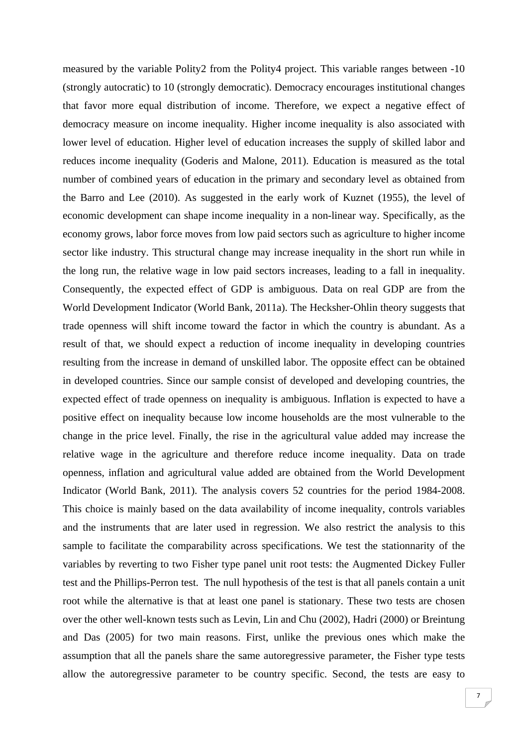measured by the variable Polity2 from the Polity4 project. This variable ranges between -10 (strongly autocratic) to 10 (strongly democratic). Democracy encourages institutional changes that favor more equal distribution of income. Therefore, we expect a negative effect of democracy measure on income inequality. Higher income inequality is also associated with lower level of education. Higher level of education increases the supply of skilled labor and reduces income inequality (Goderis and Malone, 2011). Education is measured as the total number of combined years of education in the primary and secondary level as obtained from the Barro and Lee (2010). As suggested in the early work of Kuznet (1955), the level of economic development can shape income inequality in a non-linear way. Specifically, as the economy grows, labor force moves from low paid sectors such as agriculture to higher income sector like industry. This structural change may increase inequality in the short run while in the long run, the relative wage in low paid sectors increases, leading to a fall in inequality. Consequently, the expected effect of GDP is ambiguous. Data on real GDP are from the World Development Indicator (World Bank, 2011a). The Hecksher-Ohlin theory suggests that trade openness will shift income toward the factor in which the country is abundant. As a result of that, we should expect a reduction of income inequality in developing countries resulting from the increase in demand of unskilled labor. The opposite effect can be obtained in developed countries. Since our sample consist of developed and developing countries, the expected effect of trade openness on inequality is ambiguous. Inflation is expected to have a positive effect on inequality because low income households are the most vulnerable to the change in the price level. Finally, the rise in the agricultural value added may increase the relative wage in the agriculture and therefore reduce income inequality. Data on trade openness, inflation and agricultural value added are obtained from the World Development Indicator (World Bank, 2011). The analysis covers 52 countries for the period 1984-2008. This choice is mainly based on the data availability of income inequality, controls variables and the instruments that are later used in regression. We also restrict the analysis to this sample to facilitate the comparability across specifications. We test the stationnarity of the variables by reverting to two Fisher type panel unit root tests: the Augmented Dickey Fuller test and the Phillips-Perron test. The null hypothesis of the test is that all panels contain a unit root while the alternative is that at least one panel is stationary. These two tests are chosen over the other well-known tests such as Levin, Lin and Chu (2002), Hadri (2000) or Breintung and Das (2005) for two main reasons. First, unlike the previous ones which make the assumption that all the panels share the same autoregressive parameter, the Fisher type tests allow the autoregressive parameter to be country specific. Second, the tests are easy to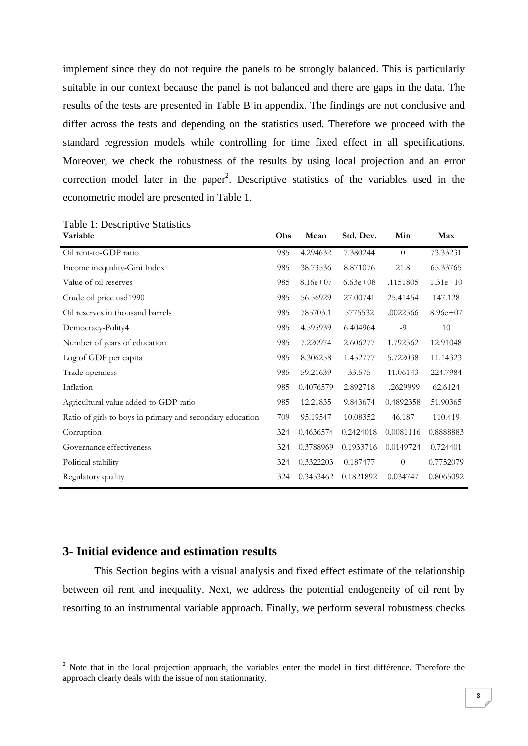implement since they do not require the panels to be strongly balanced. This is particularly suitable in our context because the panel is not balanced and there are gaps in the data. The results of the tests are presented in Table B in appendix. The findings are not conclusive and differ across the tests and depending on the statistics used. Therefore we proceed with the standard regression models while controlling for time fixed effect in all specifications. Moreover, we check the robustness of the results by using local projection and an error correction model later in the paper<sup>2</sup>. Descriptive statistics of the variables used in the econometric model are presented in Table 1.

| Variable                                                  | Obs | Mean       | Std. Dev.  | Min         | Max          |
|-----------------------------------------------------------|-----|------------|------------|-------------|--------------|
| Oil rent-to-GDP ratio                                     | 985 | 4.294632   | 7.380244   | $\Omega$    | 73.33231     |
| Income inequality-Gini Index                              | 985 | 38.73536   | 8.871076   | 21.8        | 65.33765     |
| Value of oil reserves                                     | 985 | $8.16e+07$ | $6.63e+08$ | .1151805    | $1.31e+10$   |
| Crude oil price usd1990                                   | 985 | 56.56929   | 27.00741   | 25.41454    | 147.128      |
| Oil reserves in thousand barrels                          | 985 | 785703.1   | 5775532    | .0022566    | $8.96e + 07$ |
| Democracy-Polity4                                         | 985 | 4.595939   | 6.404964   | $-9$        | 10           |
| Number of years of education                              | 985 | 7.220974   | 2.606277   | 1.792562    | 12.91048     |
| Log of GDP per capita                                     | 985 | 8.306258   | 1.452777   | 5.722038    | 11.14323     |
| Trade openness                                            | 985 | 59.21639   | 33.575     | 11.06143    | 224.7984     |
| Inflation                                                 | 985 | 0.4076579  | 2.892718   | $-.2629999$ | 62.6124      |
| Agricultural value added-to GDP-ratio                     | 985 | 12.21835   | 9.843674   | 0.4892358   | 51.90365     |
| Ratio of girls to boys in primary and secondary education | 709 | 95.19547   | 10.08352   | 46.187      | 110.419      |
| Corruption                                                | 324 | 0.4636574  | 0.2424018  | 0.0081116   | 0.8888883    |
| Governance effectiveness                                  | 324 | 0.3788969  | 0.1933716  | 0.0149724   | 0.724401     |
| Political stability                                       | 324 | 0.3322203  | 0.187477   | $\theta$    | 0.7752079    |
| Regulatory quality                                        | 324 | 0.3453462  | 0.1821892  | 0.034747    | 0.8065092    |

Table 1: Descriptive Statistics

# **3- Initial evidence and estimation results**

This Section begins with a visual analysis and fixed effect estimate of the relationship between oil rent and inequality. Next, we address the potential endogeneity of oil rent by resorting to an instrumental variable approach. Finally, we perform several robustness checks

<sup>&</sup>lt;sup>2</sup> Note that in the local projection approach, the variables enter the model in first différence. Therefore the approach clearly deals with the issue of non stationnarity.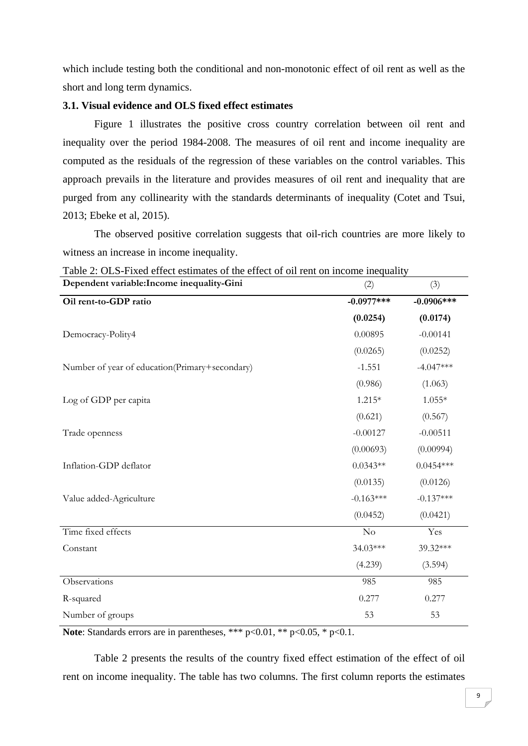which include testing both the conditional and non-monotonic effect of oil rent as well as the short and long term dynamics.

#### **3.1. Visual evidence and OLS fixed effect estimates**

 Figure 1 illustrates the positive cross country correlation between oil rent and inequality over the period 1984-2008. The measures of oil rent and income inequality are computed as the residuals of the regression of these variables on the control variables. This approach prevails in the literature and provides measures of oil rent and inequality that are purged from any collinearity with the standards determinants of inequality (Cotet and Tsui, 2013; Ebeke et al, 2015).

The observed positive correlation suggests that oil-rich countries are more likely to witness an increase in income inequality.

| Dependent variable: Income inequality-Gini     | (2)          | (3)           |
|------------------------------------------------|--------------|---------------|
| Oil rent-to-GDP ratio                          | $-0.0977***$ | $-0.0906$ *** |
|                                                | (0.0254)     | (0.0174)      |
| Democracy-Polity4                              | 0.00895      | $-0.00141$    |
|                                                | (0.0265)     | (0.0252)      |
| Number of year of education(Primary+secondary) | $-1.551$     | $-4.047***$   |
|                                                | (0.986)      | (1.063)       |
| Log of GDP per capita                          | $1.215*$     | $1.055*$      |
|                                                | (0.621)      | (0.567)       |
| Trade openness                                 | $-0.00127$   | $-0.00511$    |
|                                                | (0.00693)    | (0.00994)     |
| Inflation-GDP deflator                         | $0.0343**$   | $0.0454***$   |
|                                                | (0.0135)     | (0.0126)      |
| Value added-Agriculture                        | $-0.163***$  | $-0.137***$   |
|                                                | (0.0452)     | (0.0421)      |
| Time fixed effects                             | $\rm No$     | Yes           |
| Constant                                       | 34.03***     | 39.32***      |
|                                                | (4.239)      | (3.594)       |
| Observations                                   | 985          | 985           |
| R-squared                                      | 0.277        | 0.277         |
| Number of groups                               | 53           | 53            |

Table 2: OLS-Fixed effect estimates of the effect of oil rent on income inequality

**Note**: Standards errors are in parentheses, \*\*\* p<0.01, \*\* p<0.05, \* p<0.1.

Table 2 presents the results of the country fixed effect estimation of the effect of oil rent on income inequality. The table has two columns. The first column reports the estimates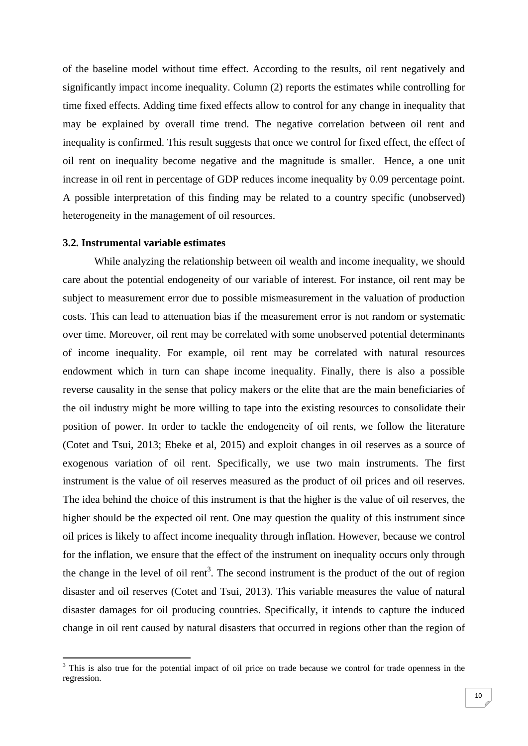of the baseline model without time effect. According to the results, oil rent negatively and significantly impact income inequality. Column (2) reports the estimates while controlling for time fixed effects. Adding time fixed effects allow to control for any change in inequality that may be explained by overall time trend. The negative correlation between oil rent and inequality is confirmed. This result suggests that once we control for fixed effect, the effect of oil rent on inequality become negative and the magnitude is smaller. Hence, a one unit increase in oil rent in percentage of GDP reduces income inequality by 0.09 percentage point. A possible interpretation of this finding may be related to a country specific (unobserved) heterogeneity in the management of oil resources.

#### **3.2. Instrumental variable estimates**

 While analyzing the relationship between oil wealth and income inequality, we should care about the potential endogeneity of our variable of interest. For instance, oil rent may be subject to measurement error due to possible mismeasurement in the valuation of production costs. This can lead to attenuation bias if the measurement error is not random or systematic over time. Moreover, oil rent may be correlated with some unobserved potential determinants of income inequality. For example, oil rent may be correlated with natural resources endowment which in turn can shape income inequality. Finally, there is also a possible reverse causality in the sense that policy makers or the elite that are the main beneficiaries of the oil industry might be more willing to tape into the existing resources to consolidate their position of power. In order to tackle the endogeneity of oil rents, we follow the literature (Cotet and Tsui, 2013; Ebeke et al, 2015) and exploit changes in oil reserves as a source of exogenous variation of oil rent. Specifically, we use two main instruments. The first instrument is the value of oil reserves measured as the product of oil prices and oil reserves. The idea behind the choice of this instrument is that the higher is the value of oil reserves, the higher should be the expected oil rent. One may question the quality of this instrument since oil prices is likely to affect income inequality through inflation. However, because we control for the inflation, we ensure that the effect of the instrument on inequality occurs only through the change in the level of oil  $\text{rent}^3$ . The second instrument is the product of the out of region disaster and oil reserves (Cotet and Tsui, 2013). This variable measures the value of natural disaster damages for oil producing countries. Specifically, it intends to capture the induced change in oil rent caused by natural disasters that occurred in regions other than the region of

<sup>&</sup>lt;sup>3</sup> This is also true for the potential impact of oil price on trade because we control for trade openness in the regression.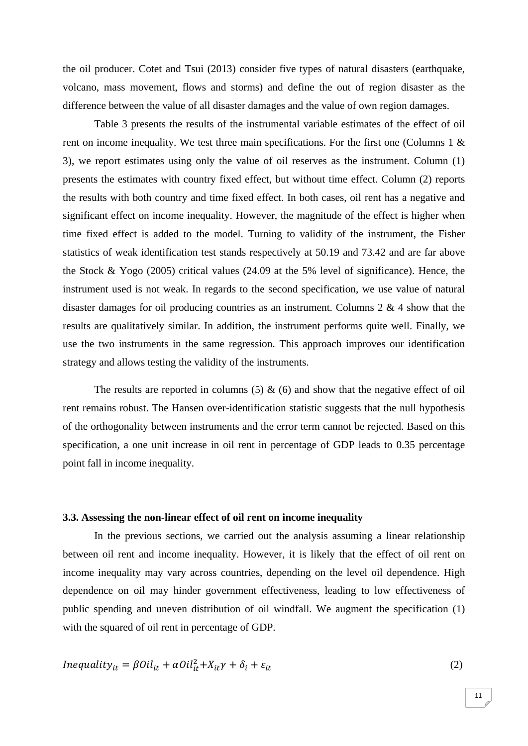the oil producer. Cotet and Tsui (2013) consider five types of natural disasters (earthquake, volcano, mass movement, flows and storms) and define the out of region disaster as the difference between the value of all disaster damages and the value of own region damages.

Table 3 presents the results of the instrumental variable estimates of the effect of oil rent on income inequality. We test three main specifications. For the first one (Columns 1 & 3), we report estimates using only the value of oil reserves as the instrument. Column (1) presents the estimates with country fixed effect, but without time effect. Column (2) reports the results with both country and time fixed effect. In both cases, oil rent has a negative and significant effect on income inequality. However, the magnitude of the effect is higher when time fixed effect is added to the model. Turning to validity of the instrument, the Fisher statistics of weak identification test stands respectively at 50.19 and 73.42 and are far above the Stock & Yogo (2005) critical values (24.09 at the 5% level of significance). Hence, the instrument used is not weak. In regards to the second specification, we use value of natural disaster damages for oil producing countries as an instrument. Columns 2 & 4 show that the results are qualitatively similar. In addition, the instrument performs quite well. Finally, we use the two instruments in the same regression. This approach improves our identification strategy and allows testing the validity of the instruments.

The results are reported in columns  $(5)$  &  $(6)$  and show that the negative effect of oil rent remains robust. The Hansen over-identification statistic suggests that the null hypothesis of the orthogonality between instruments and the error term cannot be rejected. Based on this specification, a one unit increase in oil rent in percentage of GDP leads to 0.35 percentage point fall in income inequality.

#### **3.3. Assessing the non-linear effect of oil rent on income inequality**

In the previous sections, we carried out the analysis assuming a linear relationship between oil rent and income inequality. However, it is likely that the effect of oil rent on income inequality may vary across countries, depending on the level oil dependence. High dependence on oil may hinder government effectiveness, leading to low effectiveness of public spending and uneven distribution of oil windfall. We augment the specification (1) with the squared of oil rent in percentage of GDP.

$$
Inequality_{it} = \beta Oil_{it} + \alpha Oil_{it}^2 + X_{it}\gamma + \delta_i + \varepsilon_{it}
$$
\n<sup>(2)</sup>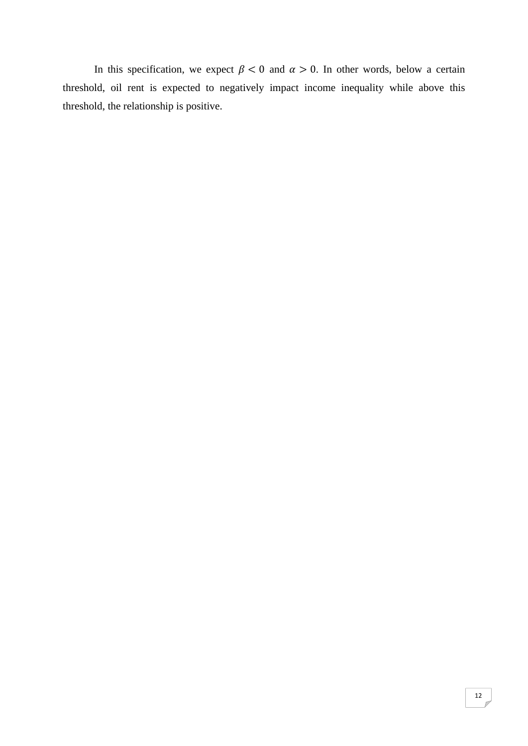In this specification, we expect  $\beta$  < 0 and  $\alpha$  > 0. In other words, below a certain threshold, oil rent is expected to negatively impact income inequality while above this threshold, the relationship is positive.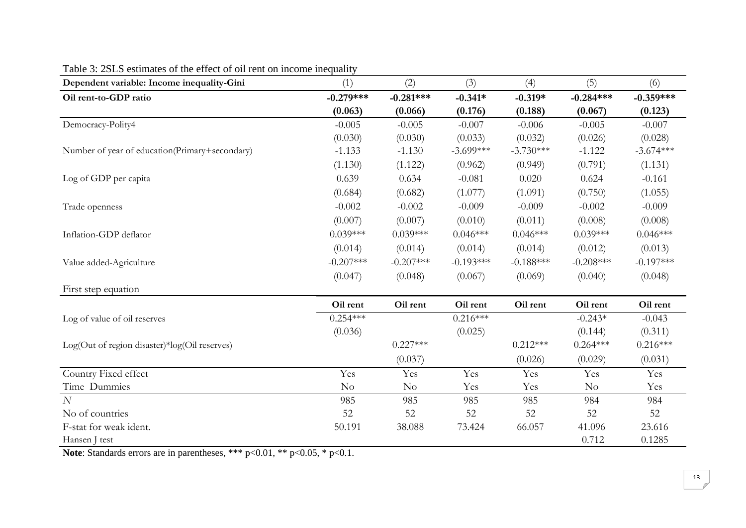| Dependent variable: Income inequality-Gini     | (1)         | (2)            | (3)         | (4)         | (5)         | (6)         |
|------------------------------------------------|-------------|----------------|-------------|-------------|-------------|-------------|
| Oil rent-to-GDP ratio                          | $-0.279***$ | $-0.281***$    | $-0.341*$   | $-0.319*$   | $-0.284***$ | $-0.359***$ |
|                                                | (0.063)     | (0.066)        | (0.176)     | (0.188)     | (0.067)     | (0.123)     |
| Democracy-Polity4                              | $-0.005$    | $-0.005$       | $-0.007$    | $-0.006$    | $-0.005$    | $-0.007$    |
|                                                | (0.030)     | (0.030)        | (0.033)     | (0.032)     | (0.026)     | (0.028)     |
| Number of year of education(Primary+secondary) | $-1.133$    | $-1.130$       | $-3.699***$ | $-3.730***$ | $-1.122$    | $-3.674***$ |
|                                                | (1.130)     | (1.122)        | (0.962)     | (0.949)     | (0.791)     | (1.131)     |
| Log of GDP per capita                          | 0.639       | 0.634          | $-0.081$    | 0.020       | 0.624       | $-0.161$    |
|                                                | (0.684)     | (0.682)        | (1.077)     | (1.091)     | (0.750)     | (1.055)     |
| Trade openness                                 | $-0.002$    | $-0.002$       | $-0.009$    | $-0.009$    | $-0.002$    | $-0.009$    |
|                                                | (0.007)     | (0.007)        | (0.010)     | (0.011)     | (0.008)     | (0.008)     |
| Inflation-GDP deflator                         | $0.039***$  | $0.039***$     | $0.046***$  | $0.046***$  | $0.039***$  | $0.046***$  |
|                                                | (0.014)     | (0.014)        | (0.014)     | (0.014)     | (0.012)     | (0.013)     |
| Value added-Agriculture                        | $-0.207***$ | $-0.207***$    | $-0.193***$ | $-0.188***$ | $-0.208***$ | $-0.197***$ |
|                                                | (0.047)     | (0.048)        | (0.067)     | (0.069)     | (0.040)     | (0.048)     |
| First step equation                            |             |                |             |             |             |             |
|                                                | Oil rent    | Oil rent       | Oil rent    | Oil rent    | Oil rent    | Oil rent    |
| Log of value of oil reserves                   | $0.254***$  |                | $0.216***$  |             | $-0.243*$   | $-0.043$    |
|                                                | (0.036)     |                | (0.025)     |             | (0.144)     | (0.311)     |
| Log(Out of region disaster)*log(Oil reserves)  |             | $0.227***$     |             | $0.212***$  | $0.264***$  | $0.216***$  |
|                                                |             | (0.037)        |             | (0.026)     | (0.029)     | (0.031)     |
| Country Fixed effect                           | Yes         | Yes            | Yes         | Yes         | Yes         | Yes         |
| Time Dummies                                   | No          | N <sub>o</sub> | Yes         | Yes         | $\rm No$    | Yes         |
| $\overline{N}$                                 | 985         | 985            | 985         | 985         | 984         | 984         |
| No of countries                                | 52          | 52             | 52          | 52          | 52          | 52          |
| F-stat for weak ident.                         | 50.191      | 38.088         | 73.424      | 66.057      | 41.096      | 23.616      |
| Hansen J test                                  |             |                |             |             | 0.712       | 0.1285      |

# Table 3: 2SLS estimates of the effect of oil rent on income inequality

**Note**: Standards errors are in parentheses, \*\*\* p<0.01, \*\* p<0.05, \* p<0.1.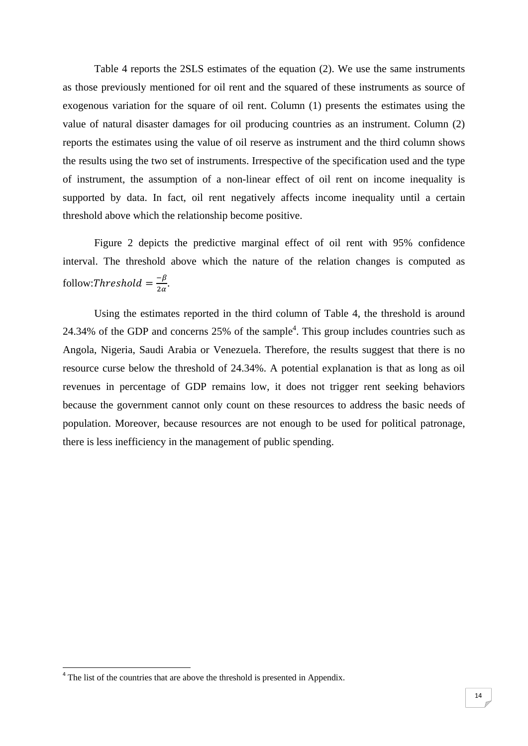Table 4 reports the 2SLS estimates of the equation (2). We use the same instruments as those previously mentioned for oil rent and the squared of these instruments as source of exogenous variation for the square of oil rent. Column (1) presents the estimates using the value of natural disaster damages for oil producing countries as an instrument. Column (2) reports the estimates using the value of oil reserve as instrument and the third column shows the results using the two set of instruments. Irrespective of the specification used and the type of instrument, the assumption of a non-linear effect of oil rent on income inequality is supported by data. In fact, oil rent negatively affects income inequality until a certain threshold above which the relationship become positive.

Figure 2 depicts the predictive marginal effect of oil rent with 95% confidence interval. The threshold above which the nature of the relation changes is computed as follow:Threshold  $=\frac{-\beta}{2\alpha}$ .

Using the estimates reported in the third column of Table 4, the threshold is around 24.34% of the GDP and concerns  $25%$  of the sample<sup>4</sup>. This group includes countries such as Angola, Nigeria, Saudi Arabia or Venezuela. Therefore, the results suggest that there is no resource curse below the threshold of 24.34%. A potential explanation is that as long as oil revenues in percentage of GDP remains low, it does not trigger rent seeking behaviors because the government cannot only count on these resources to address the basic needs of population. Moreover, because resources are not enough to be used for political patronage, there is less inefficiency in the management of public spending.

 $4$  The list of the countries that are above the threshold is presented in Appendix.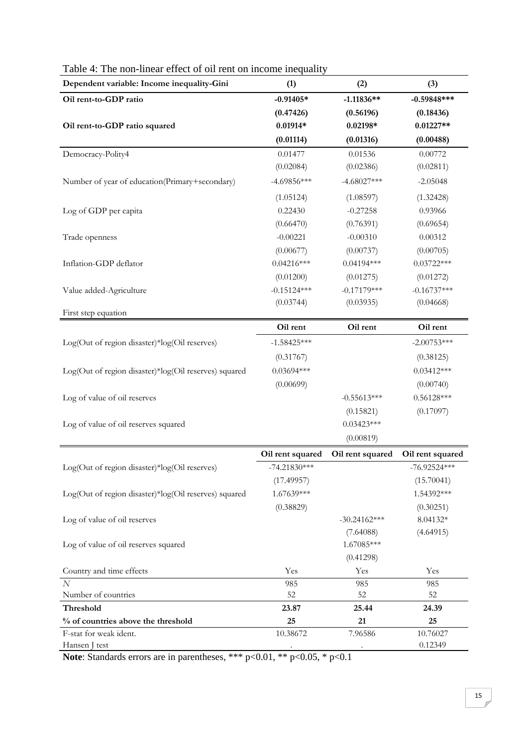| Dependent variable: Income inequality-Gini                   | (1)              | (2)              | (3)                 |
|--------------------------------------------------------------|------------------|------------------|---------------------|
| Oil rent-to-GDP ratio                                        | $-0.91405*$      | $-1.11836**$     | $-0.59848***$       |
|                                                              | (0.47426)        | (0.56196)        | (0.18436)           |
| Oil rent-to-GDP ratio squared                                | $0.01914*$       | $0.02198*$       | $0.01227**$         |
|                                                              | (0.01114)        | (0.01316)        | (0.00488)           |
| Democracy-Polity4                                            | 0.01477          | 0.01536          | 0.00772             |
|                                                              | (0.02084)        | (0.02386)        | (0.02811)           |
| Number of year of education(Primary+secondary)               | $-4.69856***$    | $-4.68027***$    | $-2.05048$          |
|                                                              | (1.05124)        | (1.08597)        | (1.32428)           |
| Log of GDP per capita                                        | 0.22430          | $-0.27258$       | 0.93966             |
|                                                              | (0.66470)        | (0.76391)        | (0.69654)           |
| Trade openness                                               | $-0.00221$       | $-0.00310$       | 0.00312             |
|                                                              | (0.00677)        | (0.00737)        | (0.00705)           |
| Inflation-GDP deflator                                       | $0.04216***$     | $0.04194***$     | $0.03722***$        |
|                                                              | (0.01200)        | (0.01275)        | (0.01272)           |
| Value added-Agriculture                                      | $-0.15124***$    | $-0.17179***$    | $-0.16737***$       |
|                                                              | (0.03744)        | (0.03935)        | (0.04668)           |
| First step equation                                          |                  |                  |                     |
|                                                              | Oil rent         | Oil rent         | Oil rent            |
| Log(Out of region disaster)*log(Oil reserves)                | $-1.58425***$    |                  | $-2.00753***$       |
|                                                              | (0.31767)        |                  | (0.38125)           |
| Log(Out of region disaster)*log(Oil reserves) squared        | $0.03694***$     |                  | $0.03412***$        |
|                                                              | (0.00699)        |                  | (0.00740)           |
| Log of value of oil reserves                                 |                  | $-0.55613***$    | $0.56128***$        |
|                                                              |                  | (0.15821)        | (0.17097)           |
| Log of value of oil reserves squared                         |                  | $0.03423***$     |                     |
|                                                              |                  | (0.00819)        |                     |
|                                                              | Oil rent squared | Oil rent squared | Oil rent squared    |
| Log(Out of region disaster)*log(Oil reserves)                | $-74.21830***$   |                  | $-76.92524***$      |
|                                                              | (17.49957)       |                  | (15.70041)          |
| Log(Out of region disaster)*log(Oil reserves) squared        | 1.67639***       |                  | 1.54392***          |
|                                                              | (0.38829)        |                  | (0.30251)           |
| Log of value of oil reserves                                 |                  | $-30.24162***$   | 8.04132*            |
|                                                              |                  | (7.64088)        | (4.64915)           |
| Log of value of oil reserves squared                         |                  | 1.67085***       |                     |
|                                                              |                  | (0.41298)        |                     |
| Country and time effects                                     | Yes              | Yes              | Yes                 |
| $\overline{N}$                                               | 985              | 985              | 985                 |
| Number of countries                                          | 52               | 52               | 52                  |
| Threshold                                                    | 23.87            | 25.44            | 24.39               |
| % of countries above the threshold<br>F-stat for weak ident. | 25               | 21               | 25                  |
|                                                              |                  |                  |                     |
| Hansen J test                                                | 10.38672         | 7.96586          | 10.76027<br>0.12349 |

# Table 4: The non-linear effect of oil rent on income inequality

**Note**: Standards errors are in parentheses, \*\*\* p<0.01, \*\* p<0.05, \* p<0.1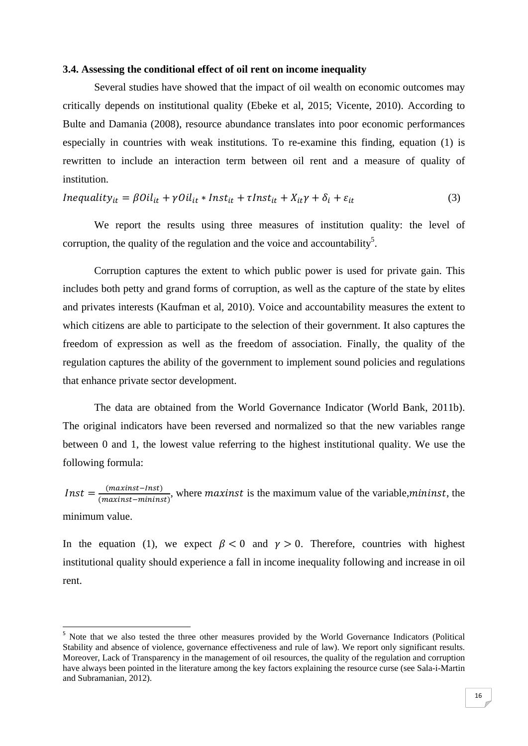#### **3.4. Assessing the conditional effect of oil rent on income inequality**

Several studies have showed that the impact of oil wealth on economic outcomes may critically depends on institutional quality (Ebeke et al, 2015; Vicente, 2010). According to Bulte and Damania (2008), resource abundance translates into poor economic performances especially in countries with weak institutions. To re-examine this finding, equation (1) is rewritten to include an interaction term between oil rent and a measure of quality of institution.

$$
Inequality_{it} = \beta Oil_{it} + \gamma Oil_{it} * Inst_{it} + \tau Inst_{it} + X_{it}\gamma + \delta_i + \varepsilon_{it}
$$
\n(3)

We report the results using three measures of institution quality: the level of corruption, the quality of the regulation and the voice and accountability<sup>5</sup>.

Corruption captures the extent to which public power is used for private gain. This includes both petty and grand forms of corruption, as well as the capture of the state by elites and privates interests (Kaufman et al, 2010). Voice and accountability measures the extent to which citizens are able to participate to the selection of their government. It also captures the freedom of expression as well as the freedom of association. Finally, the quality of the regulation captures the ability of the government to implement sound policies and regulations that enhance private sector development.

The data are obtained from the World Governance Indicator (World Bank, 2011b). The original indicators have been reversed and normalized so that the new variables range between 0 and 1, the lowest value referring to the highest institutional quality. We use the following formula:

*Inst* =  $\frac{(maxinst-Inst)}{(maxinst-mininst)}$ , where *maxinst* is the maximum value of the variable,*mininst*, the minimum value.

In the equation (1), we expect  $\beta < 0$  and  $\gamma > 0$ . Therefore, countries with highest institutional quality should experience a fall in income inequality following and increase in oil rent.

<sup>&</sup>lt;sup>5</sup> Note that we also tested the three other measures provided by the World Governance Indicators (Political Stability and absence of violence, governance effectiveness and rule of law). We report only significant results. Moreover, Lack of Transparency in the management of oil resources, the quality of the regulation and corruption have always been pointed in the literature among the key factors explaining the resource curse (see Sala-i-Martin and Subramanian, 2012).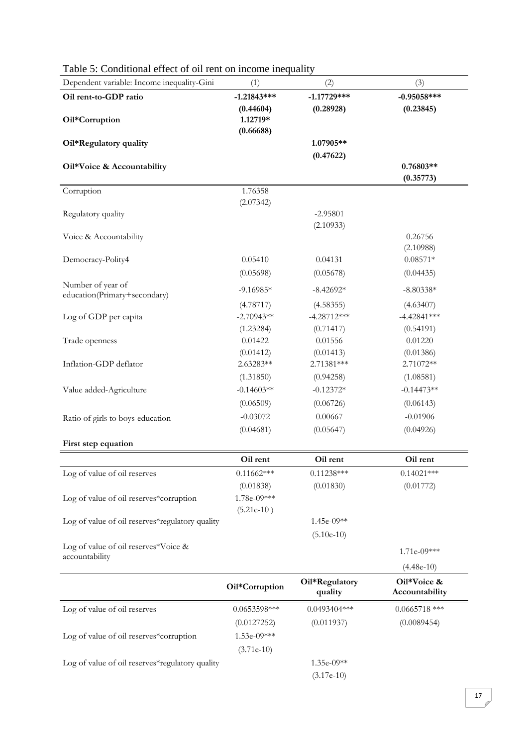| Dependent variable: Income inequality-Gini        | (1)            | (2)                       | (3)                           |
|---------------------------------------------------|----------------|---------------------------|-------------------------------|
| Oil rent-to-GDP ratio                             | $-1.21843***$  | $-1.17729***$             | $-0.95058***$                 |
|                                                   | (0.44604)      | (0.28928)                 | (0.23845)                     |
| Oil*Corruption                                    | 1.12719*       |                           |                               |
| Oil*Regulatory quality                            | (0.66688)      | 1.07905**                 |                               |
|                                                   |                | (0.47622)                 |                               |
| Oil*Voice & Accountability                        |                |                           | $0.76803**$                   |
|                                                   |                |                           | (0.35773)                     |
| Corruption                                        | 1.76358        |                           |                               |
| Regulatory quality                                | (2.07342)      | $-2.95801$                |                               |
|                                                   |                | (2.10933)                 |                               |
| Voice & Accountability                            |                |                           | 0.26756                       |
|                                                   |                |                           | (2.10988)                     |
| Democracy-Polity4                                 | 0.05410        | 0.04131                   | $0.08571*$                    |
|                                                   | (0.05698)      | (0.05678)                 | (0.04435)                     |
| Number of year of<br>education(Primary+secondary) | $-9.16985*$    | $-8.42692*$               | $-8.80338*$                   |
|                                                   | (4.78717)      | (4.58355)                 | (4.63407)                     |
| Log of GDP per capita                             | $-2.70943**$   | $-4.28712***$             | $-4.42841***$                 |
|                                                   | (1.23284)      | (0.71417)                 | (0.54191)                     |
| Trade openness                                    | 0.01422        | 0.01556                   | 0.01220                       |
|                                                   | (0.01412)      | (0.01413)                 | (0.01386)                     |
| Inflation-GDP deflator                            | 2.63283**      | 2.71381***                | 2.71072**                     |
|                                                   | (1.31850)      | (0.94258)                 | (1.08581)                     |
| Value added-Agriculture                           | $-0.14603**$   | $-0.12372*$               | $-0.14473**$                  |
|                                                   | (0.06509)      | (0.06726)                 | (0.06143)                     |
| Ratio of girls to boys-education                  | $-0.03072$     | 0.00667                   | $-0.01906$                    |
|                                                   | (0.04681)      | (0.05647)                 | (0.04926)                     |
| First step equation                               |                |                           |                               |
|                                                   | Oil rent       | Oil rent                  | Oil rent                      |
| Log of value of oil reserves                      | $0.11662***$   | $0.11238***$              | $0.14021***$                  |
|                                                   | (0.01838)      | (0.01830)                 | (0.01772)                     |
| Log of value of oil reserves*corruption           | 1.78e-09***    |                           |                               |
| Log of value of oil reserves*regulatory quality   | $(5.21e-10)$   | 1.45e-09**                |                               |
|                                                   |                | $(5.10e-10)$              |                               |
| Log of value of oil reserves*Voice &              |                |                           |                               |
| accountability                                    |                |                           | $1.71e-09***$                 |
|                                                   |                |                           | $(4.48e-10)$                  |
|                                                   | Oil*Corruption | Oil*Regulatory<br>quality | Oil*Voice &<br>Accountability |
| Log of value of oil reserves                      | $0.0653598***$ | $0.0493404***$            | $0.0665718$ ***               |
|                                                   | (0.0127252)    | (0.011937)                | (0.0089454)                   |
| Log of value of oil reserves*corruption           | 1.53e-09***    |                           |                               |
|                                                   | $(3.71e-10)$   |                           |                               |
| Log of value of oil reserves*regulatory quality   |                | 1.35e-09**                |                               |
|                                                   |                | $(3.17e-10)$              |                               |

# Table 5: Conditional effect of oil rent on income inequality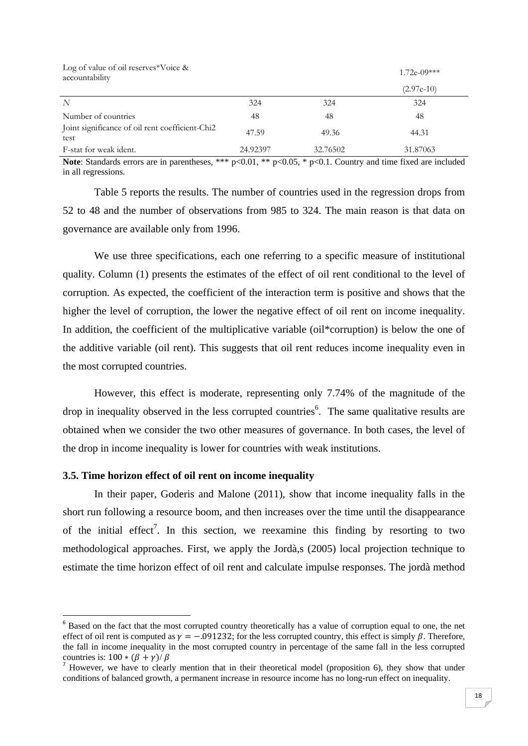| Log of value of oil reserves*Voice $\&$<br>accountability |          |          | $1.72e-09***$ |
|-----------------------------------------------------------|----------|----------|---------------|
|                                                           |          |          | $(2.97e-10)$  |
| N                                                         | 324      | 324      | 324           |
| Number of countries                                       | 48       | 48       | 48            |
| Joint significance of oil rent coefficient-Chi2<br>test   | 47.59    | 49.36    | 44.31         |
| F-stat for weak ident.                                    | 24.92397 | 32.76502 | 31.87063      |

**Note**: Standards errors are in parentheses, \*\*\* p<0.01, \*\* p<0.05, \* p<0.1. Country and time fixed are included in all regressions.

Table 5 reports the results. The number of countries used in the regression drops from 52 to 48 and the number of observations from 985 to 324. The main reason is that data on governance are available only from 1996.

We use three specifications, each one referring to a specific measure of institutional quality. Column (1) presents the estimates of the effect of oil rent conditional to the level of corruption. As expected, the coefficient of the interaction term is positive and shows that the higher the level of corruption, the lower the negative effect of oil rent on income inequality. In addition, the coefficient of the multiplicative variable (oil\*corruption) is below the one of the additive variable (oil rent). This suggests that oil rent reduces income inequality even in the most corrupted countries.

However, this effect is moderate, representing only 7.74% of the magnitude of the drop in inequality observed in the less corrupted countries<sup>6</sup>. The same qualitative results are obtained when we consider the two other measures of governance. In both cases, the level of the drop in income inequality is lower for countries with weak institutions.

#### **3.5. Time horizon effect of oil rent on income inequality**

 In their paper, Goderis and Malone (2011), show that income inequality falls in the short run following a resource boom, and then increases over the time until the disappearance of the initial effect<sup>7</sup>. In this section, we reexamine this finding by resorting to two methodological approaches. First, we apply the Jordà,s (2005) local projection technique to estimate the time horizon effect of oil rent and calculate impulse responses. The jordà method

<sup>&</sup>lt;sup>6</sup> Based on the fact that the most corrupted country theoretically has a value of corruption equal to one, the net effect of oil rent is computed as  $\gamma = -0.091232$ ; for the less corrupted country, this effect is simply  $\beta$ . Therefore, the fall in income inequality in the most corrupted country in percentage of the same fall in the less corrupted countries is:  $100 * (\beta + \gamma)/\beta$ 

 $<sup>7</sup>$  However, we have to clearly mention that in their theoretical model (proposition 6), they show that under</sup> conditions of balanced growth, a permanent increase in resource income has no long-run effect on inequality.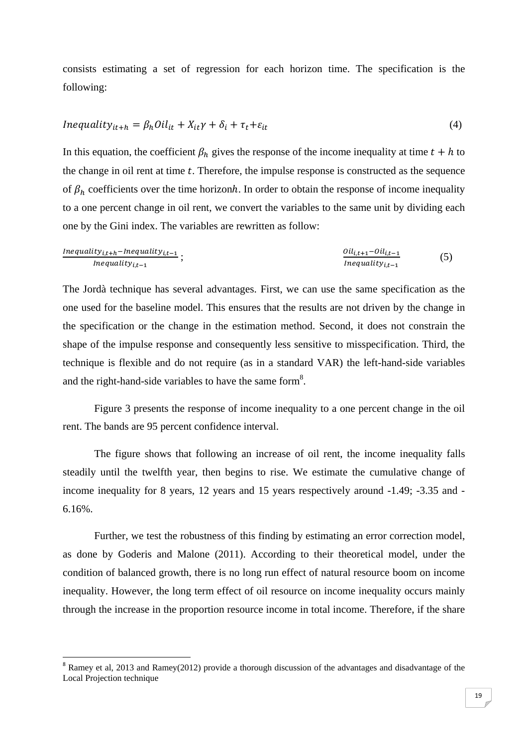consists estimating a set of regression for each horizon time. The specification is the following:

$$
Inequality_{it+h} = \beta_h Oil_{it} + X_{it}\gamma + \delta_i + \tau_t + \varepsilon_{it}
$$
\n<sup>(4)</sup>

In this equation, the coefficient  $\beta_h$  gives the response of the income inequality at time  $t + h$  to the change in oil rent at time  $t$ . Therefore, the impulse response is constructed as the sequence of  $\beta_h$  coefficients over the time horizonh. In order to obtain the response of income inequality to a one percent change in oil rent, we convert the variables to the same unit by dividing each one by the Gini index. The variables are rewritten as follow:

Inequality<sub>i,t+h</sub>-Inequality<sub>i,t-1</sub>  
Inequality<sub>i,t-1</sub>;  
1 1 0
$$
il_{i,t+1}
$$
-0 $il_{i,t-1}$   
1 1 1 0 $il_{i,t-1}$  (5)

The Jordà technique has several advantages. First, we can use the same specification as the one used for the baseline model. This ensures that the results are not driven by the change in the specification or the change in the estimation method. Second, it does not constrain the shape of the impulse response and consequently less sensitive to misspecification. Third, the technique is flexible and do not require (as in a standard VAR) the left-hand-side variables and the right-hand-side variables to have the same form<sup>8</sup>.

 Figure 3 presents the response of income inequality to a one percent change in the oil rent. The bands are 95 percent confidence interval.

The figure shows that following an increase of oil rent, the income inequality falls steadily until the twelfth year, then begins to rise. We estimate the cumulative change of income inequality for 8 years, 12 years and 15 years respectively around -1.49; -3.35 and - 6.16%.

 Further, we test the robustness of this finding by estimating an error correction model, as done by Goderis and Malone (2011). According to their theoretical model, under the condition of balanced growth, there is no long run effect of natural resource boom on income inequality. However, the long term effect of oil resource on income inequality occurs mainly through the increase in the proportion resource income in total income. Therefore, if the share

<sup>&</sup>lt;sup>8</sup> Ramey et al, 2013 and Ramey(2012) provide a thorough discussion of the advantages and disadvantage of the Local Projection technique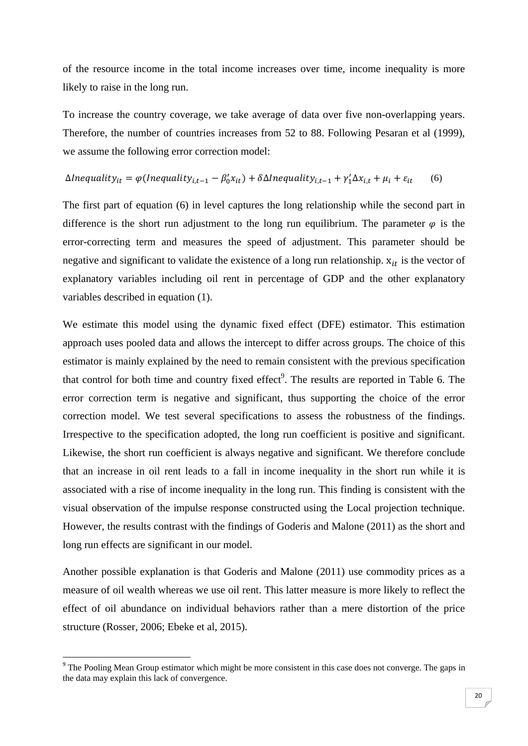of the resource income in the total income increases over time, income inequality is more likely to raise in the long run.

To increase the country coverage, we take average of data over five non-overlapping years. Therefore, the number of countries increases from 52 to 88. Following Pesaran et al (1999), we assume the following error correction model:

$$
\Delta Inequality_{it} = \varphi(Inequality_{i,t-1} - \beta'_0 x_{it}) + \delta \Delta Inequality_{i,t-1} + \gamma'_1 \Delta x_{i,t} + \mu_i + \varepsilon_{it} \tag{6}
$$

The first part of equation (6) in level captures the long relationship while the second part in difference is the short run adjustment to the long run equilibrium. The parameter  $\varphi$  is the error-correcting term and measures the speed of adjustment. This parameter should be negative and significant to validate the existence of a long run relationship.  $x_{it}$  is the vector of explanatory variables including oil rent in percentage of GDP and the other explanatory variables described in equation (1).

We estimate this model using the dynamic fixed effect (DFE) estimator. This estimation approach uses pooled data and allows the intercept to differ across groups. The choice of this estimator is mainly explained by the need to remain consistent with the previous specification that control for both time and country fixed effect<sup>9</sup>. The results are reported in Table 6. The error correction term is negative and significant, thus supporting the choice of the error correction model. We test several specifications to assess the robustness of the findings. Irrespective to the specification adopted, the long run coefficient is positive and significant. Likewise, the short run coefficient is always negative and significant. We therefore conclude that an increase in oil rent leads to a fall in income inequality in the short run while it is associated with a rise of income inequality in the long run. This finding is consistent with the visual observation of the impulse response constructed using the Local projection technique. However, the results contrast with the findings of Goderis and Malone (2011) as the short and long run effects are significant in our model.

Another possible explanation is that Goderis and Malone (2011) use commodity prices as a measure of oil wealth whereas we use oil rent. This latter measure is more likely to reflect the effect of oil abundance on individual behaviors rather than a mere distortion of the price structure (Rosser, 2006; Ebeke et al, 2015).

<sup>&</sup>lt;sup>9</sup> The Pooling Mean Group estimator which might be more consistent in this case does not converge. The gaps in the data may explain this lack of convergence.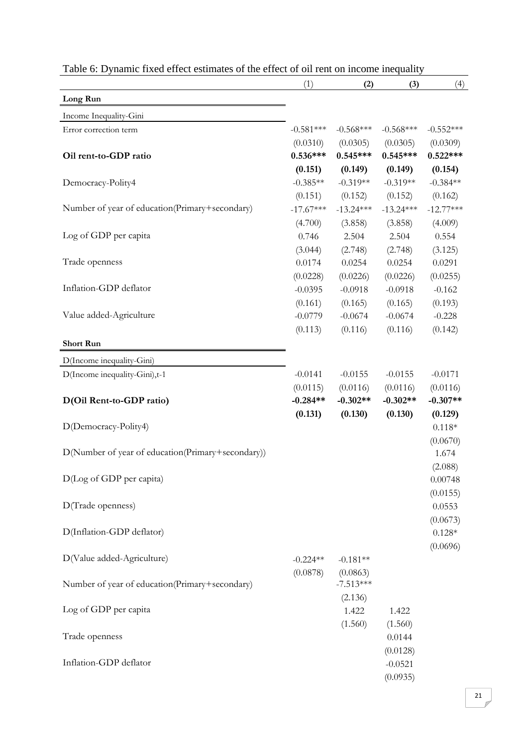|                                                   | (1)         | (2)         | (3)         | (4)         |
|---------------------------------------------------|-------------|-------------|-------------|-------------|
| Long Run                                          |             |             |             |             |
| Income Inequality-Gini                            |             |             |             |             |
| Error correction term                             | $-0.581***$ | $-0.568***$ | $-0.568***$ | $-0.552***$ |
|                                                   | (0.0310)    | (0.0305)    | (0.0305)    | (0.0309)    |
| Oil rent-to-GDP ratio                             | $0.536***$  | $0.545***$  | $0.545***$  | $0.522***$  |
|                                                   | (0.151)     | (0.149)     | (0.149)     | (0.154)     |
| Democracy-Polity4                                 | $-0.385**$  | $-0.319**$  | $-0.319**$  | $-0.384**$  |
|                                                   | (0.151)     | (0.152)     | (0.152)     | (0.162)     |
| Number of year of education(Primary+secondary)    | $-17.67***$ | $-13.24***$ | $-13.24***$ | $-12.77***$ |
|                                                   | (4.700)     | (3.858)     | (3.858)     | (4.009)     |
| Log of GDP per capita                             | 0.746       | 2.504       | 2.504       | 0.554       |
|                                                   | (3.044)     | (2.748)     | (2.748)     | (3.125)     |
| Trade openness                                    | 0.0174      | 0.0254      | 0.0254      | 0.0291      |
|                                                   | (0.0228)    | (0.0226)    | (0.0226)    | (0.0255)    |
| Inflation-GDP deflator                            | $-0.0395$   | $-0.0918$   | $-0.0918$   | $-0.162$    |
|                                                   | (0.161)     | (0.165)     | (0.165)     | (0.193)     |
| Value added-Agriculture                           | $-0.0779$   | $-0.0674$   | $-0.0674$   | $-0.228$    |
|                                                   | (0.113)     | (0.116)     | (0.116)     | (0.142)     |
| <b>Short Run</b>                                  |             |             |             |             |
| D(Income inequality-Gini)                         |             |             |             |             |
| D(Income inequality-Gini),t-1                     | $-0.0141$   | $-0.0155$   | $-0.0155$   | $-0.0171$   |
|                                                   | (0.0115)    | (0.0116)    | (0.0116)    | (0.0116)    |
| D(Oil Rent-to-GDP ratio)                          | $-0.284**$  | $-0.302**$  | $-0.302**$  | $-0.307**$  |
|                                                   | (0.131)     | (0.130)     | (0.130)     | (0.129)     |
| D(Democracy-Polity4)                              |             |             |             | $0.118*$    |
|                                                   |             |             |             | (0.0670)    |
| D(Number of year of education(Primary+secondary)) |             |             |             | 1.674       |
|                                                   |             |             |             | (2.088)     |
| D(Log of GDP per capita)                          |             |             |             | 0.00748     |
|                                                   |             |             |             | (0.0155)    |
| D(Trade openness)                                 |             |             |             | 0.0553      |
|                                                   |             |             |             | (0.0673)    |
| D(Inflation-GDP deflator)                         |             |             |             | $0.128*$    |
|                                                   |             |             |             | (0.0696)    |
| D(Value added-Agriculture)                        | $-0.224**$  | $-0.181**$  |             |             |
|                                                   | (0.0878)    | (0.0863)    |             |             |
| Number of year of education(Primary+secondary)    |             | $-7.513***$ |             |             |
|                                                   |             | (2.136)     |             |             |
| Log of GDP per capita                             |             | 1.422       | 1.422       |             |
|                                                   |             | (1.560)     | (1.560)     |             |
| Trade openness                                    |             |             | 0.0144      |             |
|                                                   |             |             | (0.0128)    |             |
| Inflation-GDP deflator                            |             |             | $-0.0521$   |             |
|                                                   |             |             | (0.0935)    |             |

|  |  |  |  |  | Table 6: Dynamic fixed effect estimates of the effect of oil rent on income inequality |  |
|--|--|--|--|--|----------------------------------------------------------------------------------------|--|
|--|--|--|--|--|----------------------------------------------------------------------------------------|--|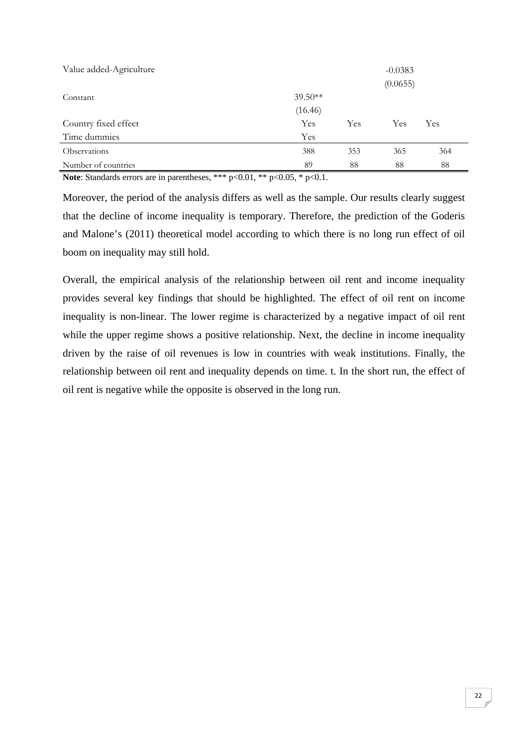| Value added-Agriculture |           |     | $-0.0383$ |     |
|-------------------------|-----------|-----|-----------|-----|
|                         |           |     | (0.0655)  |     |
| Constant                | $39.50**$ |     |           |     |
|                         | (16.46)   |     |           |     |
| Country fixed effect    | Yes       | Yes | Yes       | Yes |
| Time dummies            | Yes       |     |           |     |
| Observations            | 388       | 353 | 365       | 364 |
| Number of countries     | 89        | 88  | 88        | 88  |

**Note**: Standards errors are in parentheses, \*\*\* p<0.01, \*\* p<0.05, \* p<0.1.

Moreover, the period of the analysis differs as well as the sample. Our results clearly suggest that the decline of income inequality is temporary. Therefore, the prediction of the Goderis and Malone's (2011) theoretical model according to which there is no long run effect of oil boom on inequality may still hold.

Overall, the empirical analysis of the relationship between oil rent and income inequality provides several key findings that should be highlighted. The effect of oil rent on income inequality is non-linear. The lower regime is characterized by a negative impact of oil rent while the upper regime shows a positive relationship. Next, the decline in income inequality driven by the raise of oil revenues is low in countries with weak institutions. Finally, the relationship between oil rent and inequality depends on time. t. In the short run, the effect of oil rent is negative while the opposite is observed in the long run.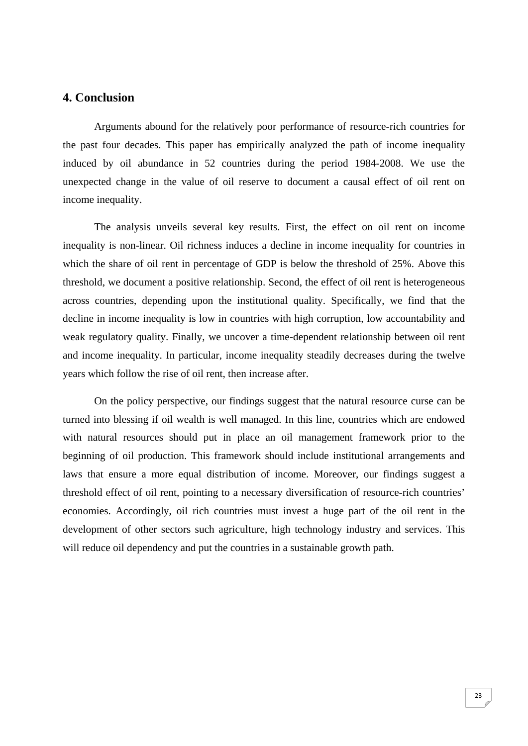## **4. Conclusion**

 Arguments abound for the relatively poor performance of resource-rich countries for the past four decades. This paper has empirically analyzed the path of income inequality induced by oil abundance in 52 countries during the period 1984-2008. We use the unexpected change in the value of oil reserve to document a causal effect of oil rent on income inequality.

The analysis unveils several key results. First, the effect on oil rent on income inequality is non-linear. Oil richness induces a decline in income inequality for countries in which the share of oil rent in percentage of GDP is below the threshold of 25%. Above this threshold, we document a positive relationship. Second, the effect of oil rent is heterogeneous across countries, depending upon the institutional quality. Specifically, we find that the decline in income inequality is low in countries with high corruption, low accountability and weak regulatory quality. Finally, we uncover a time-dependent relationship between oil rent and income inequality. In particular, income inequality steadily decreases during the twelve years which follow the rise of oil rent, then increase after.

On the policy perspective, our findings suggest that the natural resource curse can be turned into blessing if oil wealth is well managed. In this line, countries which are endowed with natural resources should put in place an oil management framework prior to the beginning of oil production. This framework should include institutional arrangements and laws that ensure a more equal distribution of income. Moreover, our findings suggest a threshold effect of oil rent, pointing to a necessary diversification of resource-rich countries' economies. Accordingly, oil rich countries must invest a huge part of the oil rent in the development of other sectors such agriculture, high technology industry and services. This will reduce oil dependency and put the countries in a sustainable growth path.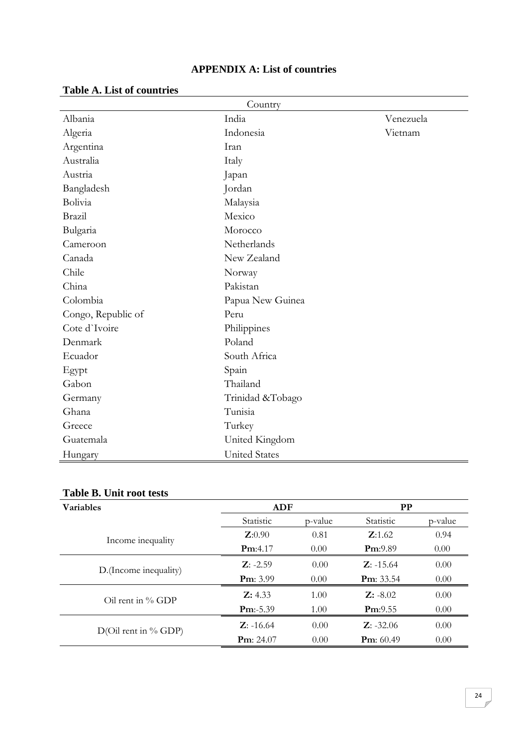| <b>APPENDIX A: List of countries</b> |
|--------------------------------------|
|--------------------------------------|

|  |  | <b>Table A. List of countries</b> |
|--|--|-----------------------------------|
|--|--|-----------------------------------|

| Country            |                      |           |  |  |
|--------------------|----------------------|-----------|--|--|
| Albania            | India                | Venezuela |  |  |
| Algeria            | Indonesia            | Vietnam   |  |  |
| Argentina          | Iran                 |           |  |  |
| Australia          | Italy                |           |  |  |
| Austria            | Japan                |           |  |  |
| Bangladesh         | Jordan               |           |  |  |
| Bolivia            | Malaysia             |           |  |  |
| Brazil             | Mexico               |           |  |  |
| Bulgaria           | Morocco              |           |  |  |
| Cameroon           | Netherlands          |           |  |  |
| Canada             | New Zealand          |           |  |  |
| Chile              | Norway               |           |  |  |
| China              | Pakistan             |           |  |  |
| Colombia           | Papua New Guinea     |           |  |  |
| Congo, Republic of | Peru                 |           |  |  |
| Cote d'Ivoire      | Philippines          |           |  |  |
| Denmark            | Poland               |           |  |  |
| Ecuador            | South Africa         |           |  |  |
| Egypt              | Spain                |           |  |  |
| Gabon              | Thailand             |           |  |  |
| Germany            | Trinidad &Tobago     |           |  |  |
| Ghana              | Tunisia              |           |  |  |
| Greece             | Turkey               |           |  |  |
| Guatemala          | United Kingdom       |           |  |  |
| Hungary            | <b>United States</b> |           |  |  |

# **Table B. Unit root tests**

| <b>Variables</b>                 | ADF                 |         | <b>PP</b>           |         |
|----------------------------------|---------------------|---------|---------------------|---------|
|                                  | Statistic           | p-value | Statistic           | p-value |
| Income inequality                | $\mathbf{Z}:0.90$   | 0.81    | Z:1.62              | 0.94    |
|                                  | Pm:4.17             | 0.00    | Pm:9.89             | 0.00    |
| D. (Income inequality)           | $Z: -2.59$          | 0.00    | $Z: -15.64$         | 0.00    |
|                                  | <b>Pm</b> : $3.99$  | 0.00    | <b>Pm</b> : $33.54$ | 0.00    |
| $\overline{O}_{i}$ rent in % GDP | Z: 4.33             | 1.00    | $Z: -8.02$          | 0.00    |
|                                  | $Pm: -5.39$         | 1.00    | Pm:9.55             | 0.00    |
| $D(Oil$ rent in % GDP)           | $Z: -16.64$         | 0.00    | $Z: -32.06$         | 0.00    |
|                                  | <b>Pm</b> : $24.07$ | 0.00    | <b>Pm</b> : $60.49$ | 0.00    |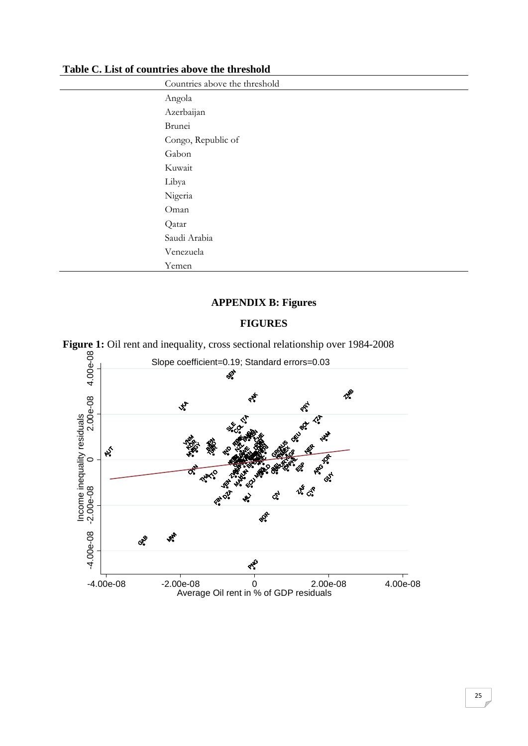| Countries above the threshold |
|-------------------------------|
| Angola                        |
| Azerbaijan                    |
| Brunei                        |
| Congo, Republic of            |
| Gabon                         |
| Kuwait                        |
| Libya                         |
| Nigeria                       |
| Oman                          |
| Qatar                         |
| Saudi Arabia                  |
| Venezuela                     |
| Yemen                         |

**Table C. List of countries above the threshold** 

# **APPENDIX B: Figures**

#### **FIGURES**



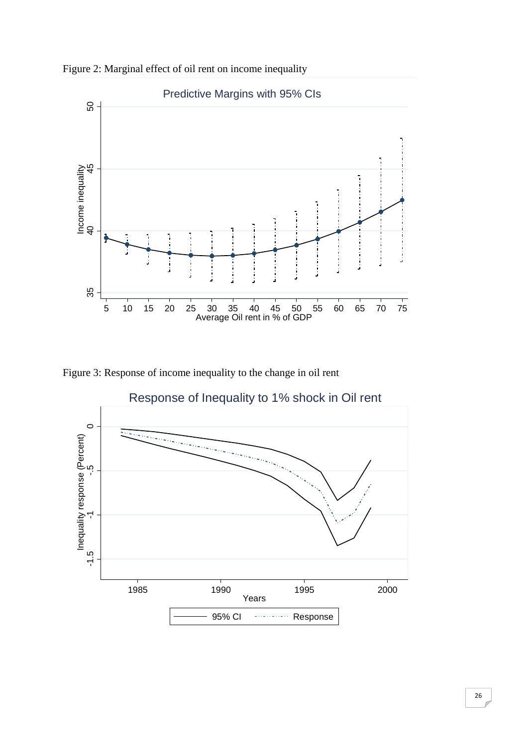



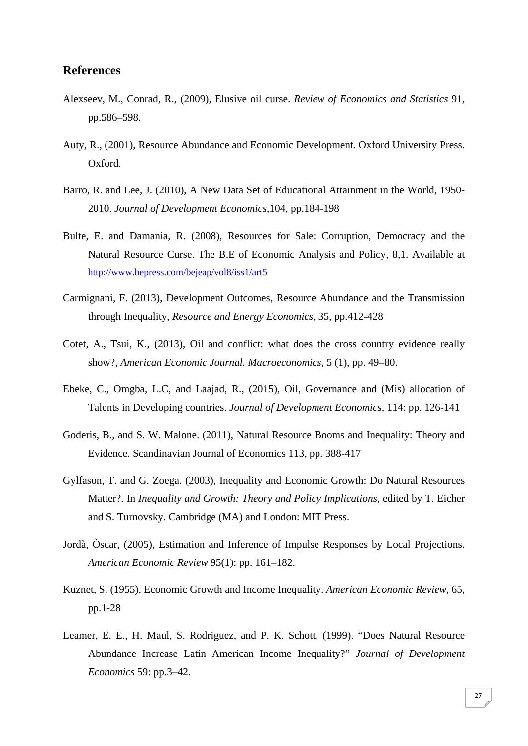### **References**

- Alexseev, M., Conrad, R., (2009), Elusive oil curse. *Review of Economics and Statistics* 91, pp.586–598.
- Auty, R., (2001), Resource Abundance and Economic Development*.* Oxford University Press. Oxford.
- Barro, R. and Lee, J. (2010), A New Data Set of Educational Attainment in the World, 1950- 2010. *Journal of Development Economics*,104, pp.184-198
- Bulte, E. and Damania, R. (2008), Resources for Sale: Corruption, Democracy and the Natural Resource Curse. The B.E of Economic Analysis and Policy, 8,1. Available at http://www.bepress.com/bejeap/vol8/iss1/art5
- Carmignani, F. (2013), Development Outcomes, Resource Abundance and the Transmission through Inequality, *Resource and Energy Economics*, 35, pp.412-428
- Cotet, A., Tsui, K., (2013), Oil and conflict: what does the cross country evidence really show?, *American Economic Journal. Macroeconomics*, 5 (1), pp. 49–80.
- Ebeke, C., Omgba, L.C, and Laajad, R., (2015), Oil, Governance and (Mis) allocation of Talents in Developing countries. *Journal of Development Economics,* 114: pp. 126-141
- Goderis, B., and S. W. Malone. (2011), Natural Resource Booms and Inequality: Theory and Evidence. Scandinavian Journal of Economics 113, pp. 388-417
- Gylfason, T. and G. Zoega. (2003), Inequality and Economic Growth: Do Natural Resources Matter?. In *Inequality and Growth: Theory and Policy Implications*, edited by T. Eicher and S. Turnovsky. Cambridge (MA) and London: MIT Press.
- Jordà, Òscar, (2005), Estimation and Inference of Impulse Responses by Local Projections. *American Economic Review* 95(1): pp. 161–182.
- Kuznet, S, (1955), Economic Growth and Income Inequality. *American Economic Review*, 65, pp.1-28
- Leamer, E. E., H. Maul, S. Rodriguez, and P. K. Schott. (1999). "Does Natural Resource Abundance Increase Latin American Income Inequality?" *Journal of Development Economics* 59: pp.3–42.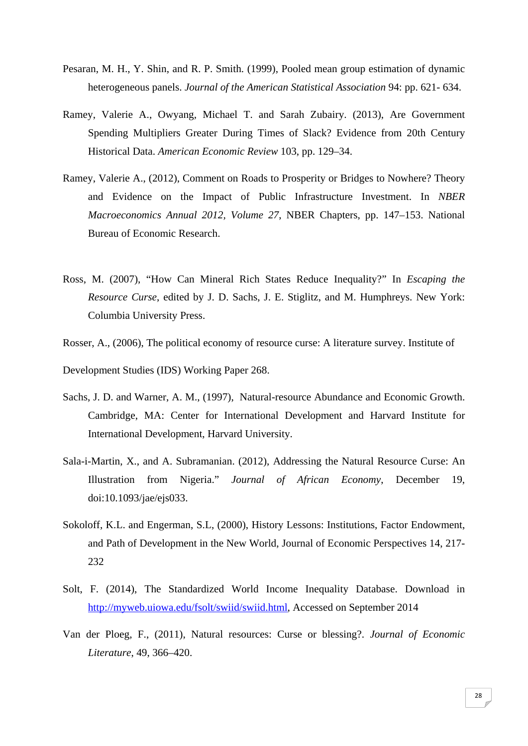- Pesaran, M. H., Y. Shin, and R. P. Smith. (1999), Pooled mean group estimation of dynamic heterogeneous panels. *Journal of the American Statistical Association* 94: pp. 621- 634.
- Ramey, Valerie A., Owyang, Michael T. and Sarah Zubairy. (2013), Are Government Spending Multipliers Greater During Times of Slack? Evidence from 20th Century Historical Data. *American Economic Review* 103, pp. 129–34.
- Ramey, Valerie A., (2012), Comment on Roads to Prosperity or Bridges to Nowhere? Theory and Evidence on the Impact of Public Infrastructure Investment. In *NBER Macroeconomics Annual 2012, Volume 27*, NBER Chapters, pp. 147–153. National Bureau of Economic Research.
- Ross, M. (2007), "How Can Mineral Rich States Reduce Inequality?" In *Escaping the Resource Curse*, edited by J. D. Sachs, J. E. Stiglitz, and M. Humphreys. New York: Columbia University Press.
- Rosser, A., (2006), The political economy of resource curse: A literature survey. Institute of

Development Studies (IDS) Working Paper 268.

- Sachs, J. D. and Warner, A. M., (1997), Natural-resource Abundance and Economic Growth. Cambridge, MA: Center for International Development and Harvard Institute for International Development, Harvard University.
- Sala-i-Martin, X., and A. Subramanian. (2012), Addressing the Natural Resource Curse: An Illustration from Nigeria." *Journal of African Economy*, December 19, doi:10.1093/jae/ejs033.
- Sokoloff, K.L. and Engerman, S.L, (2000), History Lessons: Institutions, Factor Endowment, and Path of Development in the New World, Journal of Economic Perspectives 14, 217- 232
- Solt, F. (2014), The Standardized World Income Inequality Database. Download in http://myweb.uiowa.edu/fsolt/swiid/swiid.html, Accessed on September 2014
- Van der Ploeg, F., (2011), Natural resources: Curse or blessing?. *Journal of Economic Literature*, 49, 366–420.